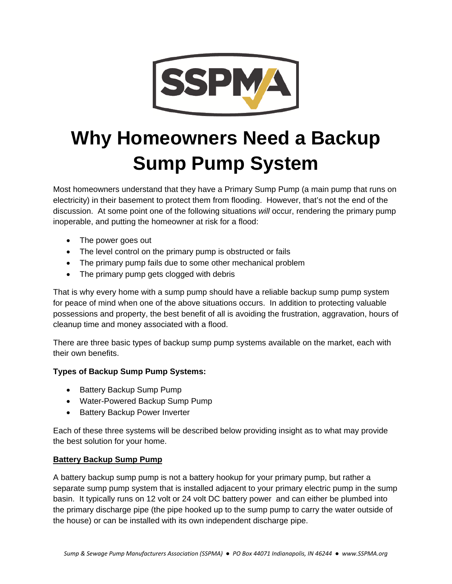

# **Why Homeowners Need a Backup Sump Pump System**

Most homeowners understand that they have a Primary Sump Pump (a main pump that runs on electricity) in their basement to protect them from flooding. However, that's not the end of the discussion. At some point one of the following situations *will* occur, rendering the primary pump inoperable, and putting the homeowner at risk for a flood:

- The power goes out
- The level control on the primary pump is obstructed or fails
- The primary pump fails due to some other mechanical problem
- The primary pump gets clogged with debris

That is why every home with a sump pump should have a reliable backup sump pump system for peace of mind when one of the above situations occurs. In addition to protecting valuable possessions and property, the best benefit of all is avoiding the frustration, aggravation, hours of cleanup time and money associated with a flood.

There are three basic types of backup sump pump systems available on the market, each with their own benefits.

# **Types of Backup Sump Pump Systems:**

- Battery Backup Sump Pump
- Water-Powered Backup Sump Pump
- Battery Backup Power Inverter

Each of these three systems will be described below providing insight as to what may provide the best solution for your home.

#### **Battery Backup Sump Pump**

A battery backup sump pump is not a battery hookup for your primary pump, but rather a separate sump pump system that is installed adjacent to your primary electric pump in the sump basin. It typically runs on 12 volt or 24 volt DC battery power and can either be plumbed into the primary discharge pipe (the pipe hooked up to the sump pump to carry the water outside of the house) or can be installed with its own independent discharge pipe.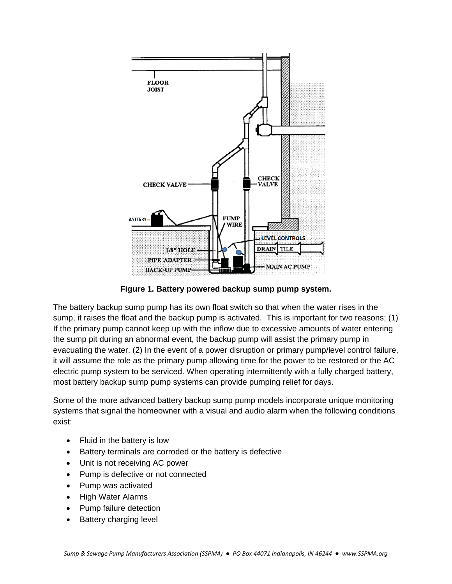

**Figure 1. Battery powered backup sump pump system.** 

The battery backup sump pump has its own float switch so that when the water rises in the sump, it raises the float and the backup pump is activated. This is important for two reasons; (1) If the primary pump cannot keep up with the inflow due to excessive amounts of water entering the sump pit during an abnormal event, the backup pump will assist the primary pump in evacuating the water. (2) In the event of a power disruption or primary pump/level control failure, it will assume the role as the primary pump allowing time for the power to be restored or the AC electric pump system to be serviced. When operating intermittently with a fully charged battery, most battery backup sump pump systems can provide pumping relief for days.

Some of the more advanced battery backup sump pump models incorporate unique monitoring systems that signal the homeowner with a visual and audio alarm when the following conditions exist:

- Fluid in the battery is low
- Battery terminals are corroded or the battery is defective
- Unit is not receiving AC power
- Pump is defective or not connected
- Pump was activated
- High Water Alarms
- Pump failure detection
- Battery charging level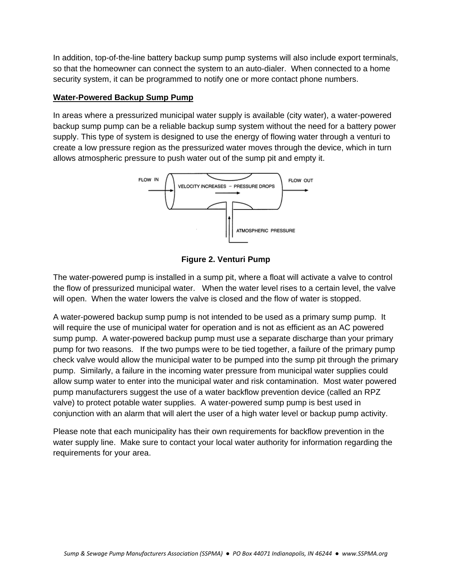In addition, top-of-the-line battery backup sump pump systems will also include export terminals, so that the homeowner can connect the system to an auto-dialer. When connected to a home security system, it can be programmed to notify one or more contact phone numbers.

## **Water-Powered Backup Sump Pump**

In areas where a pressurized municipal water supply is available (city water), a water-powered backup sump pump can be a reliable backup sump system without the need for a battery power supply. This type of system is designed to use the energy of flowing water through a venturi to create a low pressure region as the pressurized water moves through the device, which in turn allows atmospheric pressure to push water out of the sump pit and empty it.



**Figure 2. Venturi Pump**

The water-powered pump is installed in a sump pit, where a float will activate a valve to control the flow of pressurized municipal water. When the water level rises to a certain level, the valve will open. When the water lowers the valve is closed and the flow of water is stopped.

A water-powered backup sump pump is not intended to be used as a primary sump pump. It will require the use of municipal water for operation and is not as efficient as an AC powered sump pump. A water-powered backup pump must use a separate discharge than your primary pump for two reasons. If the two pumps were to be tied together, a failure of the primary pump check valve would allow the municipal water to be pumped into the sump pit through the primary pump. Similarly, a failure in the incoming water pressure from municipal water supplies could allow sump water to enter into the municipal water and risk contamination. Most water powered pump manufacturers suggest the use of a water backflow prevention device (called an RPZ valve) to protect potable water supplies. A water-powered sump pump is best used in conjunction with an alarm that will alert the user of a high water level or backup pump activity.

Please note that each municipality has their own requirements for backflow prevention in the water supply line. Make sure to contact your local water authority for information regarding the requirements for your area.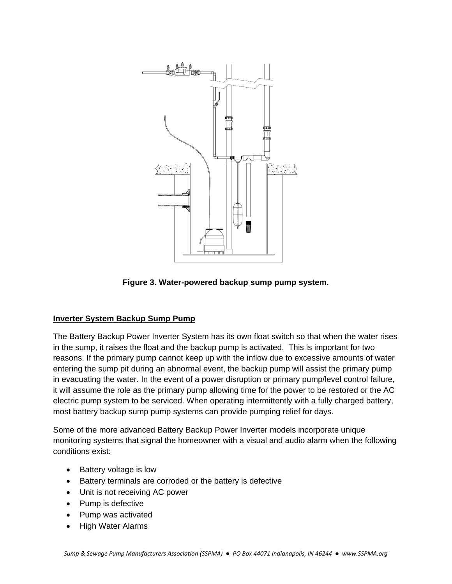

**Figure 3. Water-powered backup sump pump system.** 

# **Inverter System Backup Sump Pump**

The Battery Backup Power Inverter System has its own float switch so that when the water rises in the sump, it raises the float and the backup pump is activated. This is important for two reasons. If the primary pump cannot keep up with the inflow due to excessive amounts of water entering the sump pit during an abnormal event, the backup pump will assist the primary pump in evacuating the water. In the event of a power disruption or primary pump/level control failure, it will assume the role as the primary pump allowing time for the power to be restored or the AC electric pump system to be serviced. When operating intermittently with a fully charged battery, most battery backup sump pump systems can provide pumping relief for days.

Some of the more advanced Battery Backup Power Inverter models incorporate unique monitoring systems that signal the homeowner with a visual and audio alarm when the following conditions exist:

- Battery voltage is low
- Battery terminals are corroded or the battery is defective
- Unit is not receiving AC power
- Pump is defective
- Pump was activated
- High Water Alarms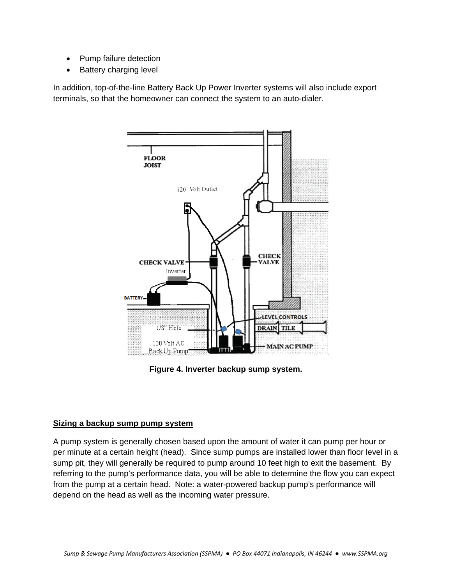- Pump failure detection
- **Battery charging level**

In addition, top-of-the-line Battery Back Up Power Inverter systems will also include export terminals, so that the homeowner can connect the system to an auto-dialer.



**Figure 4. Inverter backup sump system.** 

#### **Sizing a backup sump pump system**

A pump system is generally chosen based upon the amount of water it can pump per hour or per minute at a certain height (head). Since sump pumps are installed lower than floor level in a sump pit, they will generally be required to pump around 10 feet high to exit the basement. By referring to the pump's performance data, you will be able to determine the flow you can expect from the pump at a certain head. Note: a water-powered backup pump's performance will depend on the head as well as the incoming water pressure.